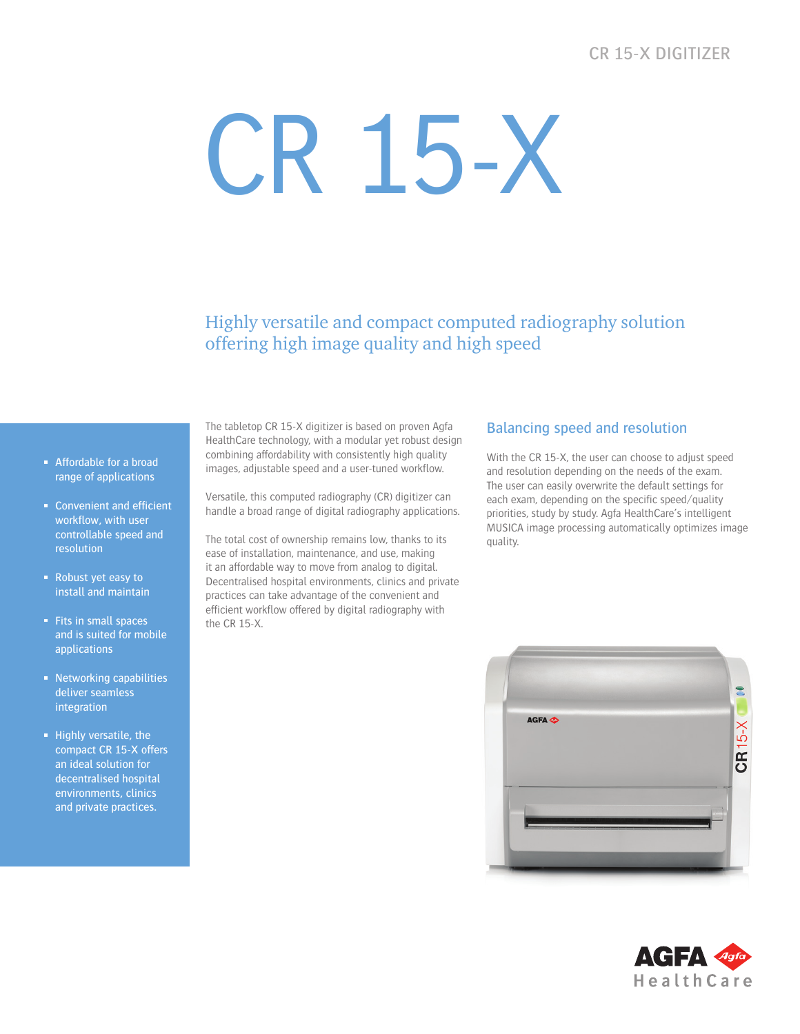# CR 15-X DIGITIZER

# CR 15-X

Highly versatile and compact computed radiography solution offering high image quality and high speed

- Affordable for a broad range of applications
- Convenient and efficient workflow, with user controllable speed and resolution
- Robust yet easy to install and maintain
- Fits in small spaces and is suited for mobile applications
- Networking capabilities deliver seamless integration
- $\blacksquare$  Highly versatile, the compact CR 15-X offers an ideal solution for decentralised hospital environments, clinics and private practices.

The tabletop CR 15-X digitizer is based on proven Agfa HealthCare technology, with a modular yet robust design combining affordability with consistently high quality images, adjustable speed and a user-tuned workflow.

Versatile, this computed radiography (CR) digitizer can handle a broad range of digital radiography applications.

The total cost of ownership remains low, thanks to its ease of installation, maintenance, and use, making it an affordable way to move from analog to digital. Decentralised hospital environments, clinics and private practices can take advantage of the convenient and efficient workflow offered by digital radiography with the CR 15-X.

# Balancing speed and resolution

With the CR 15-X, the user can choose to adjust speed and resolution depending on the needs of the exam. The user can easily overwrite the default settings for each exam, depending on the specific speed/quality priorities, study by study. Agfa HealthCare's intelligent MUSICA image processing automatically optimizes image quality.



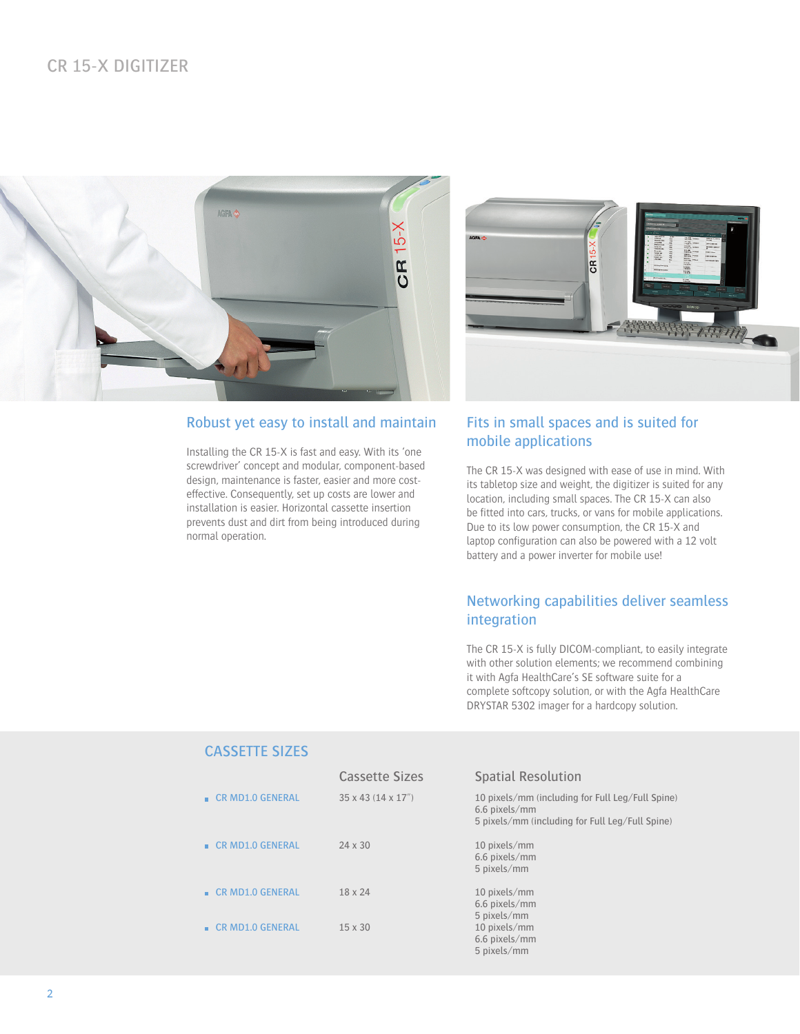

# Robust yet easy to install and maintain

Installing the CR 15-X is fast and easy. With its 'one screwdriver' concept and modular, component-based design, maintenance is faster, easier and more costeffective. Consequently, set up costs are lower and installation is easier. Horizontal cassette insertion prevents dust and dirt from being introduced during normal operation.



# Fits in small spaces and is suited for mobile applications

The CR 15-X was designed with ease of use in mind. With its tabletop size and weight, the digitizer is suited for any location, including small spaces. The CR 15-X can also be fitted into cars, trucks, or vans for mobile applications. Due to its low power consumption, the CR 15-X and laptop configuration can also be powered with a 12 volt battery and a power inverter for mobile use!

# Networking capabilities deliver seamless integration

The CR 15-X is fully DICOM-compliant, to easily integrate with other solution elements; we recommend combining it with Agfa HealthCare's SE software suite for a complete softcopy solution, or with the Agfa HealthCare DRYSTAR 5302 imager for a hardcopy solution.

# CASSETTE SIZES

|                           | <b>Cassette Sizes</b>            | <b>Spatial Resolution</b>                                                                                            |
|---------------------------|----------------------------------|----------------------------------------------------------------------------------------------------------------------|
| <b>E</b> CR MD1.0 GENERAL | $35 \times 43$ (14 $\times$ 17") | 10 pixels/mm (including for Full Leg/Full Spine)<br>6.6 pixels/mm<br>5 pixels/mm (including for Full Leg/Full Spine) |
| <b>E</b> CR MD1.0 GENERAL | $24 \times 30$                   | 10 pixels/mm<br>6.6 pixels/mm<br>5 pixels/mm                                                                         |
| <b>E</b> CR MD1.0 GENERAL | $18 \times 24$                   | 10 pixels/mm<br>6.6 pixels/mm<br>5 pixels/mm                                                                         |
| <b>E</b> CR MD1.0 GENERAL | $15 \times 30$                   | 10 pixels/mm<br>6.6 pixels/mm<br>5 pixels/mm                                                                         |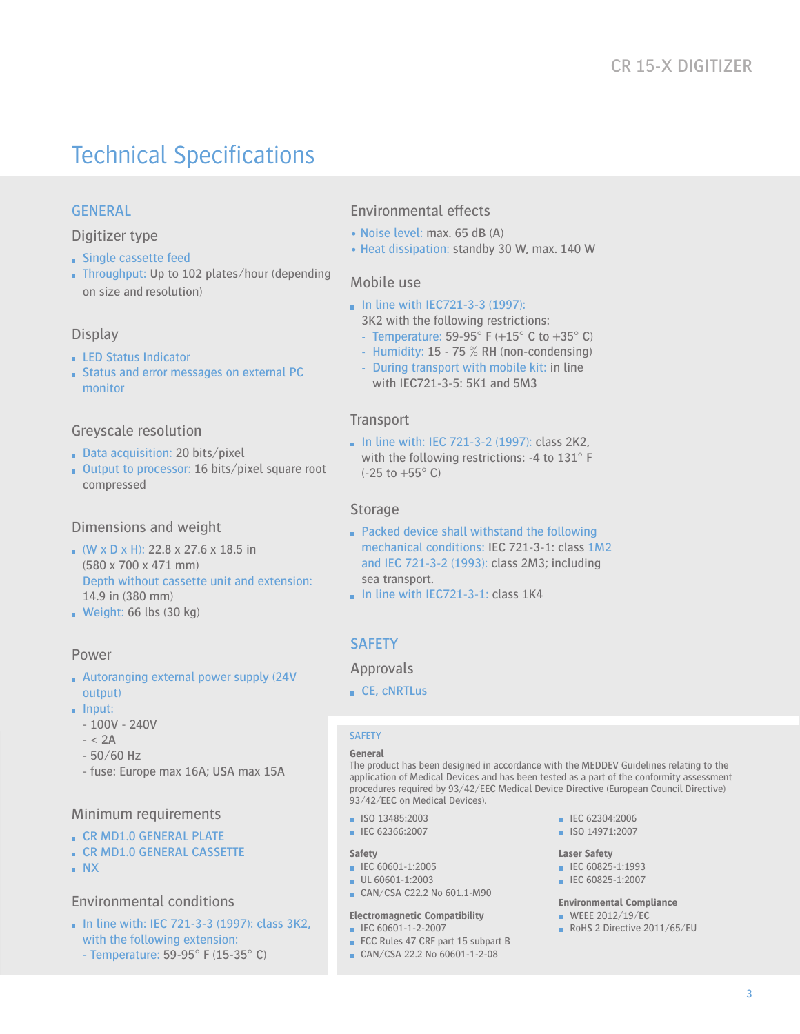# Technical Specifications

# GENERAL

Digitizer type

- **Single cassette feed**
- Throughput: Up to 102 plates/hour (depending on size and resolution)

#### Display

- **LED Status Indicator**
- **Status and error messages on external PC** monitor

#### Greyscale resolution

- Data acquisition: 20 bits/pixel
- Output to processor: 16 bits/pixel square root compressed

#### Dimensions and weight

- $(W \times D \times H)$ : 22.8 x 27.6 x 18.5 in (580 x 700 x 471 mm) Depth without cassette unit and extension: 14.9 in (380 mm)
- Weight:  $66$  lbs  $(30 \text{ kg})$

#### Power

- Autoranging external power supply (24V output)
- $\blacksquare$  Input:
	- 100V 240V
	- $< 2A$
	- 50/60 Hz
	- fuse: Europe max 16A; USA max 15A

#### Minimum requirements

- **EX MD1.0 GENERAL PLATE**
- **CR MD1.0 GENERAL CASSETTE**
- NX

#### Environmental conditions

 $\blacksquare$  In line with: IEC 721-3-3 (1997): class 3K2. with the following extension: - Temperature: 59-95° F (15-35° C)

# Environmental effects

- Noise level: max. 65 dB (A)
- Heat dissipation: standby 30 W, max. 140 W

#### Mobile use

- $\blacksquare$  In line with IEC721-3-3 (1997): 3K2 with the following restrictions:
	- Temperature: 59-95 $^{\circ}$  F (+15 $^{\circ}$  C to +35 $^{\circ}$  C)
	- Humidity: 15 75 % RH (non-condensing) - During transport with mobile kit: in line
	- with IEC721-3-5: 5K1 and 5M3

#### **Transport**

 $\blacksquare$  In line with: IEC 721-3-2 (1997): class 2K2. with the following restrictions: -4 to 131° F (-25 to +55° C)

#### Storage

- Packed device shall withstand the following mechanical conditions: IEC 721-3-1: class 1M2 and IEC 721-3-2 (1993): class 2M3; including sea transport.
- $\blacksquare$  In line with IEC721-3-1: class 1K4

#### **SAFETY**

#### Approvals

CE, cNRTLus

#### **SAFETY**

#### **General**

The product has been designed in accordance with the MEDDEV Guidelines relating to the application of Medical Devices and has been tested as a part of the conformity assessment procedures required by 93/42/EEC Medical Device Directive (European Council Directive) 93/42/EEC on Medical Devices).

- ISO 13485:2003
- **IEC 62366:2007**

#### **Safety**

- IEC 60601-1:2005
- UL 60601-1:2003
- CAN/CSA C22.2 No 601.1-M90

#### **Electromagnetic Compatibility**

- IEC 60601-1-2-2007
- FCC Rules 47 CRF part 15 subpart B
- CAN/CSA 22.2 No 60601-1-2-08

#### **IEC 62304:2006**

ISO 14971:2007

#### **Laser Safety**

- $\blacksquare$  IEC 60825-1:1993
- $\blacksquare$  IEC 60825-1:2007

#### **Environmental Compliance**

- $W$ FFF 2012/19/FC
- RoHS 2 Directive 2011/65/EU